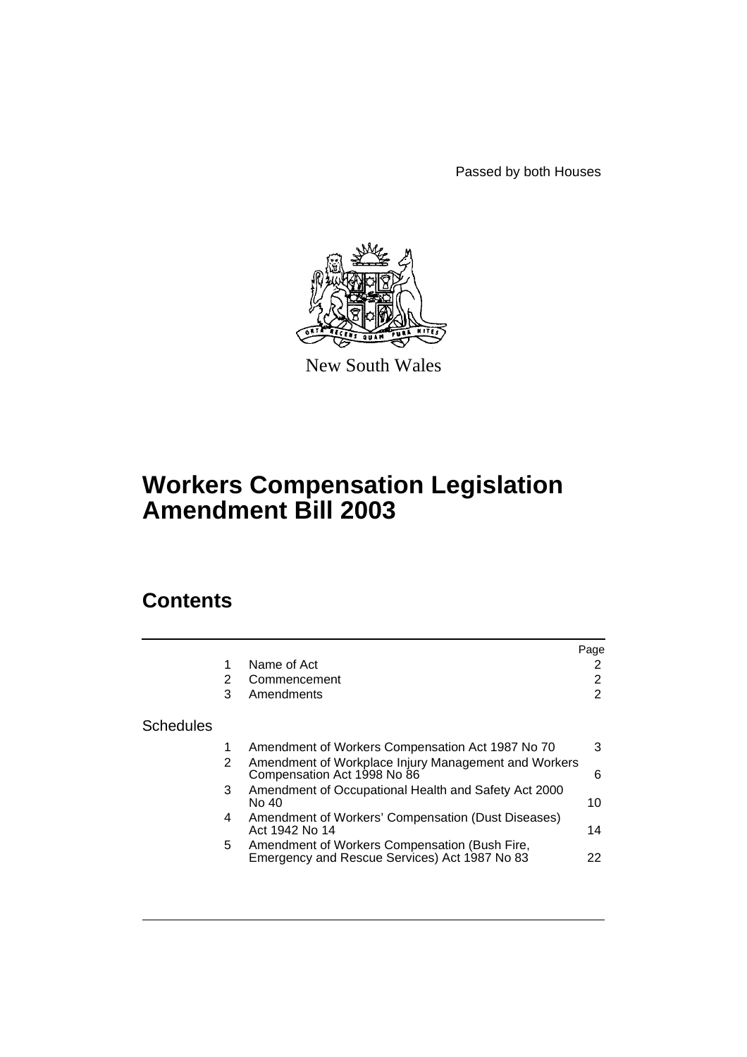Passed by both Houses



New South Wales

# **Workers Compensation Legislation Amendment Bill 2003**

# **Contents**

|                  |    |                                                                                                | Page           |
|------------------|----|------------------------------------------------------------------------------------------------|----------------|
|                  |    | Name of Act                                                                                    | 2              |
|                  | 2  | Commencement                                                                                   | $\overline{2}$ |
|                  | 3  | Amendments                                                                                     | $\overline{2}$ |
| <b>Schedules</b> |    |                                                                                                |                |
|                  |    | Amendment of Workers Compensation Act 1987 No 70                                               | 3              |
|                  | 2  | Amendment of Workplace Injury Management and Workers<br>Compensation Act 1998 No 86            | 6              |
|                  | 3  | Amendment of Occupational Health and Safety Act 2000<br>No 40                                  | 10             |
|                  | 4  | Amendment of Workers' Compensation (Dust Diseases)<br>Act 1942 No 14                           | 14             |
|                  | 5. | Amendment of Workers Compensation (Bush Fire,<br>Emergency and Rescue Services) Act 1987 No 83 | 22             |
|                  |    |                                                                                                |                |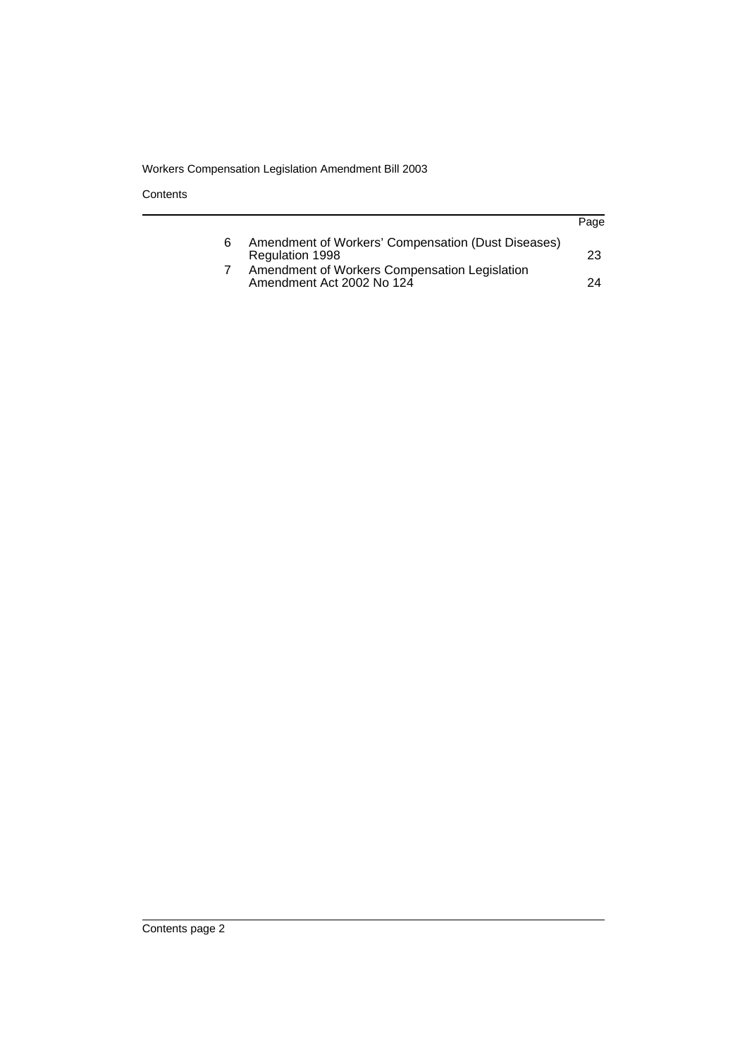**Contents** 

|   |                                                                            | Page |
|---|----------------------------------------------------------------------------|------|
| 6 | Amendment of Workers' Compensation (Dust Diseases)<br>Regulation 1998      | 23   |
|   | Amendment of Workers Compensation Legislation<br>Amendment Act 2002 No 124 | 24   |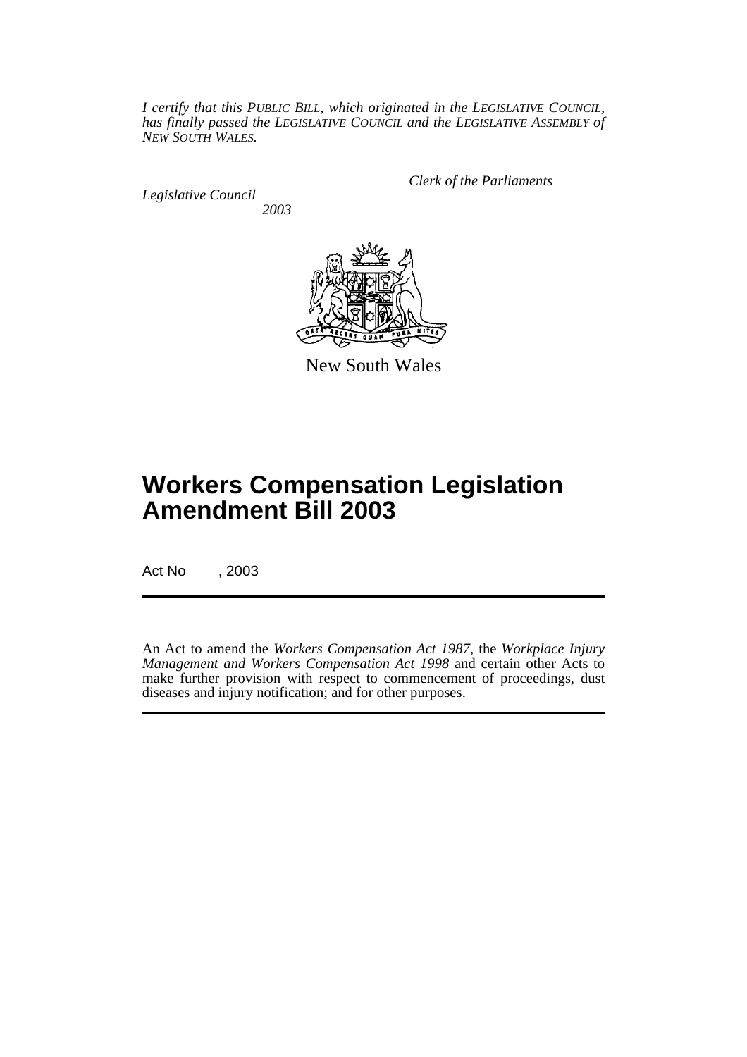*I certify that this PUBLIC BILL, which originated in the LEGISLATIVE COUNCIL, has finally passed the LEGISLATIVE COUNCIL and the LEGISLATIVE ASSEMBLY of NEW SOUTH WALES.*

*Legislative Council 2003* *Clerk of the Parliaments*



New South Wales

# **Workers Compensation Legislation Amendment Bill 2003**

Act No , 2003

An Act to amend the *Workers Compensation Act 1987*, the *Workplace Injury Management and Workers Compensation Act 1998* and certain other Acts to make further provision with respect to commencement of proceedings, dust diseases and injury notification; and for other purposes.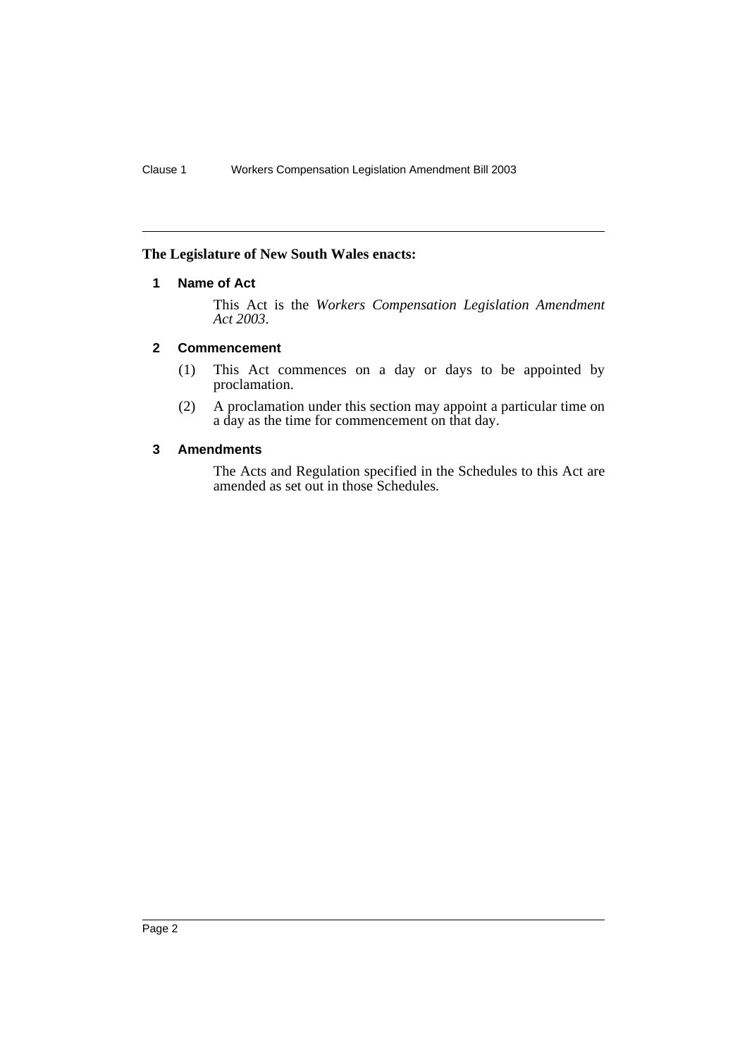# <span id="page-3-0"></span>**The Legislature of New South Wales enacts:**

# **1 Name of Act**

This Act is the *Workers Compensation Legislation Amendment Act 2003*.

# <span id="page-3-1"></span>**2 Commencement**

- (1) This Act commences on a day or days to be appointed by proclamation.
- (2) A proclamation under this section may appoint a particular time on a day as the time for commencement on that day.

# <span id="page-3-2"></span>**3 Amendments**

The Acts and Regulation specified in the Schedules to this Act are amended as set out in those Schedules.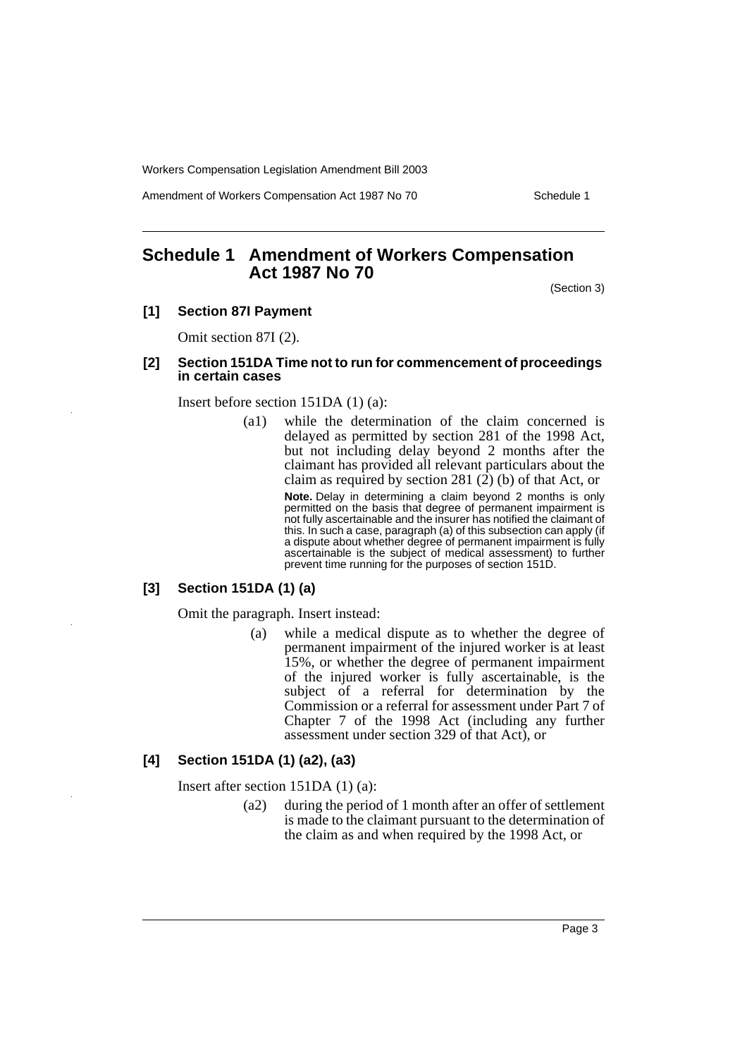Amendment of Workers Compensation Act 1987 No 70 Schedule 1

# <span id="page-4-0"></span>**Schedule 1 Amendment of Workers Compensation Act 1987 No 70**

(Section 3)

# **[1] Section 87I Payment**

Omit section 87I (2).

#### **[2] Section 151DA Time not to run for commencement of proceedings in certain cases**

Insert before section 151DA (1) (a):

(a1) while the determination of the claim concerned is delayed as permitted by section 281 of the 1998 Act, but not including delay beyond 2 months after the claimant has provided all relevant particulars about the claim as required by section 281 (2) (b) of that Act, or

> **Note.** Delay in determining a claim beyond 2 months is only permitted on the basis that degree of permanent impairment is not fully ascertainable and the insurer has notified the claimant of this. In such a case, paragraph (a) of this subsection can apply (if a dispute about whether degree of permanent impairment is fully ascertainable is the subject of medical assessment) to further prevent time running for the purposes of section 151D.

#### **[3] Section 151DA (1) (a)**

Omit the paragraph. Insert instead:

(a) while a medical dispute as to whether the degree of permanent impairment of the injured worker is at least 15%, or whether the degree of permanent impairment of the injured worker is fully ascertainable, is the subject of a referral for determination by the Commission or a referral for assessment under Part 7 of Chapter 7 of the 1998 Act (including any further assessment under section 329 of that Act), or

#### **[4] Section 151DA (1) (a2), (a3)**

Insert after section 151DA (1) (a):

(a2) during the period of 1 month after an offer of settlement is made to the claimant pursuant to the determination of the claim as and when required by the 1998 Act, or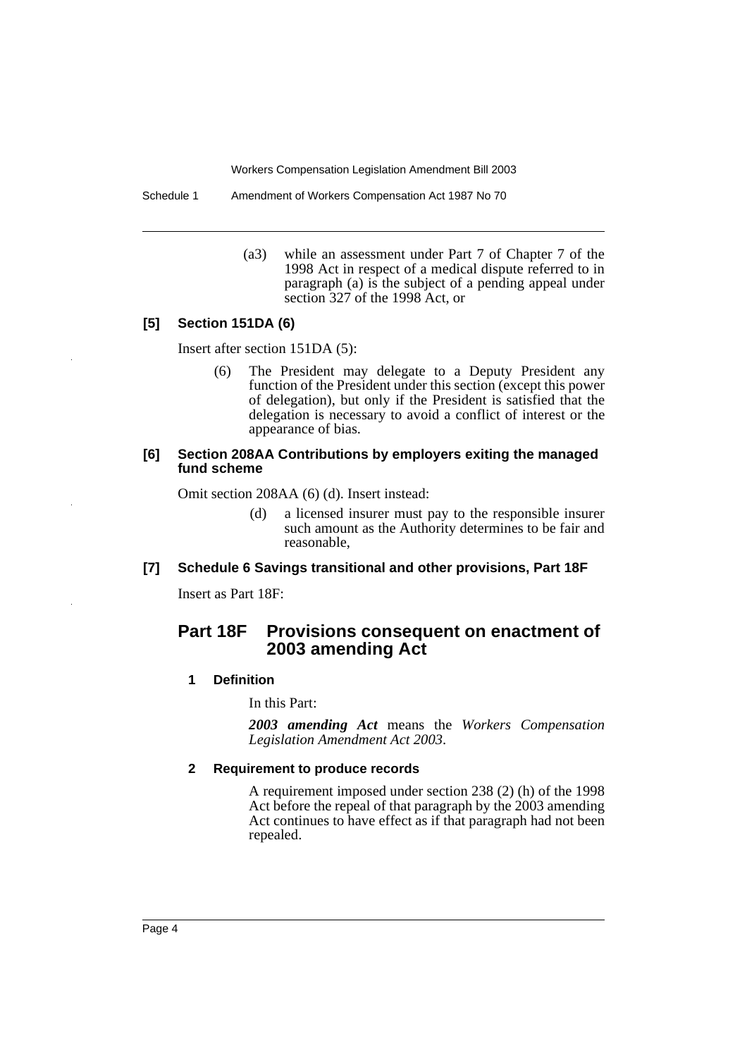Schedule 1 Amendment of Workers Compensation Act 1987 No 70

(a3) while an assessment under Part 7 of Chapter 7 of the 1998 Act in respect of a medical dispute referred to in paragraph (a) is the subject of a pending appeal under section 327 of the 1998 Act, or

## **[5] Section 151DA (6)**

Insert after section 151DA (5):

(6) The President may delegate to a Deputy President any function of the President under this section (except this power of delegation), but only if the President is satisfied that the delegation is necessary to avoid a conflict of interest or the appearance of bias.

#### **[6] Section 208AA Contributions by employers exiting the managed fund scheme**

Omit section 208AA (6) (d). Insert instead:

(d) a licensed insurer must pay to the responsible insurer such amount as the Authority determines to be fair and reasonable,

## **[7] Schedule 6 Savings transitional and other provisions, Part 18F**

Insert as Part 18F:

# **Part 18F Provisions consequent on enactment of 2003 amending Act**

#### **1 Definition**

In this Part:

*2003 amending Act* means the *Workers Compensation Legislation Amendment Act 2003*.

#### **2 Requirement to produce records**

A requirement imposed under section 238 (2) (h) of the 1998 Act before the repeal of that paragraph by the 2003 amending Act continues to have effect as if that paragraph had not been repealed.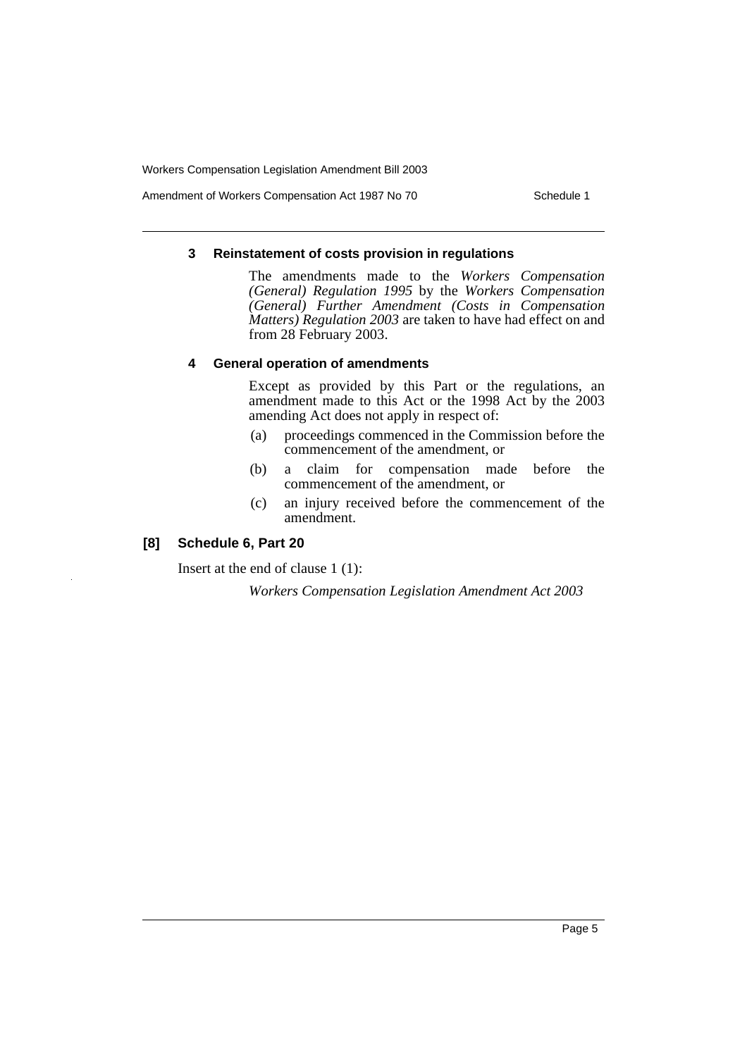Amendment of Workers Compensation Act 1987 No 70 Schedule 1

#### **3 Reinstatement of costs provision in regulations**

The amendments made to the *Workers Compensation (General) Regulation 1995* by the *Workers Compensation (General) Further Amendment (Costs in Compensation Matters) Regulation 2003* are taken to have had effect on and from 28 February 2003.

### **4 General operation of amendments**

Except as provided by this Part or the regulations, an amendment made to this Act or the 1998 Act by the 2003 amending Act does not apply in respect of:

- (a) proceedings commenced in the Commission before the commencement of the amendment, or
- (b) a claim for compensation made before the commencement of the amendment, or
- (c) an injury received before the commencement of the amendment.

# **[8] Schedule 6, Part 20**

Insert at the end of clause 1 (1):

*Workers Compensation Legislation Amendment Act 2003*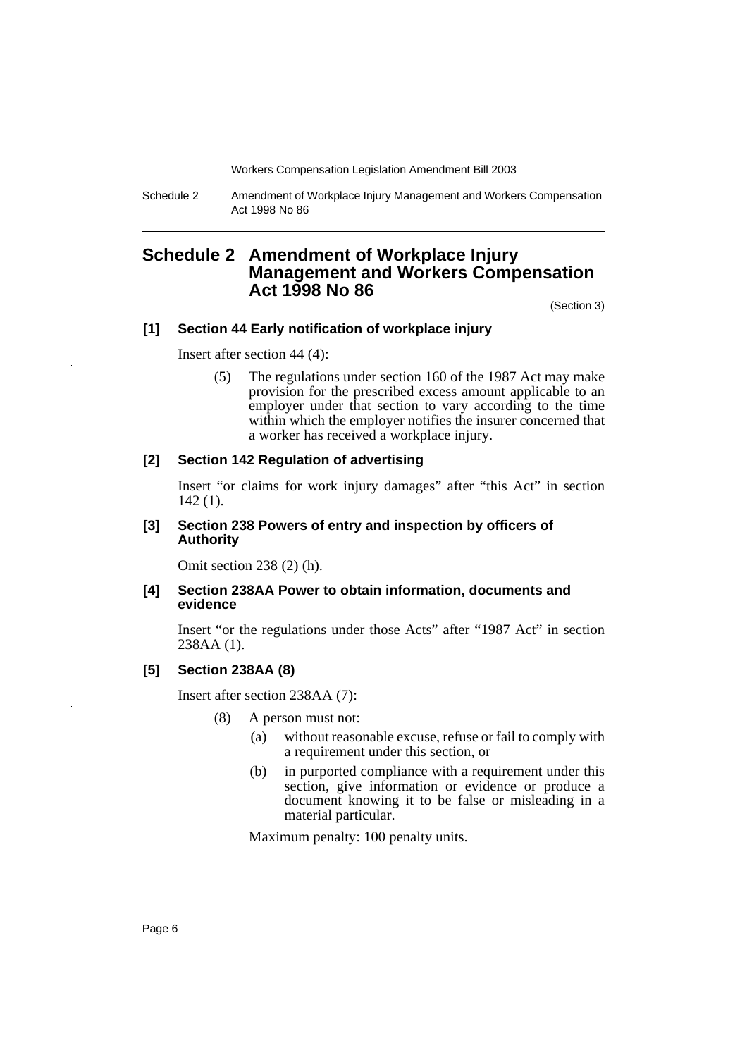Schedule 2 Amendment of Workplace Injury Management and Workers Compensation Act 1998 No 86

# <span id="page-7-0"></span>**Schedule 2 Amendment of Workplace Injury Management and Workers Compensation Act 1998 No 86**

(Section 3)

#### **[1] Section 44 Early notification of workplace injury**

Insert after section 44 (4):

(5) The regulations under section 160 of the 1987 Act may make provision for the prescribed excess amount applicable to an employer under that section to vary according to the time within which the employer notifies the insurer concerned that a worker has received a workplace injury.

#### **[2] Section 142 Regulation of advertising**

Insert "or claims for work injury damages" after "this Act" in section 142 (1).

#### **[3] Section 238 Powers of entry and inspection by officers of Authority**

Omit section 238 (2) (h).

## **[4] Section 238AA Power to obtain information, documents and evidence**

Insert "or the regulations under those Acts" after "1987 Act" in section 238AA (1).

# **[5] Section 238AA (8)**

Insert after section 238AA (7):

- (8) A person must not:
	- (a) without reasonable excuse, refuse or fail to comply with a requirement under this section, or
	- (b) in purported compliance with a requirement under this section, give information or evidence or produce a document knowing it to be false or misleading in a material particular.

Maximum penalty: 100 penalty units.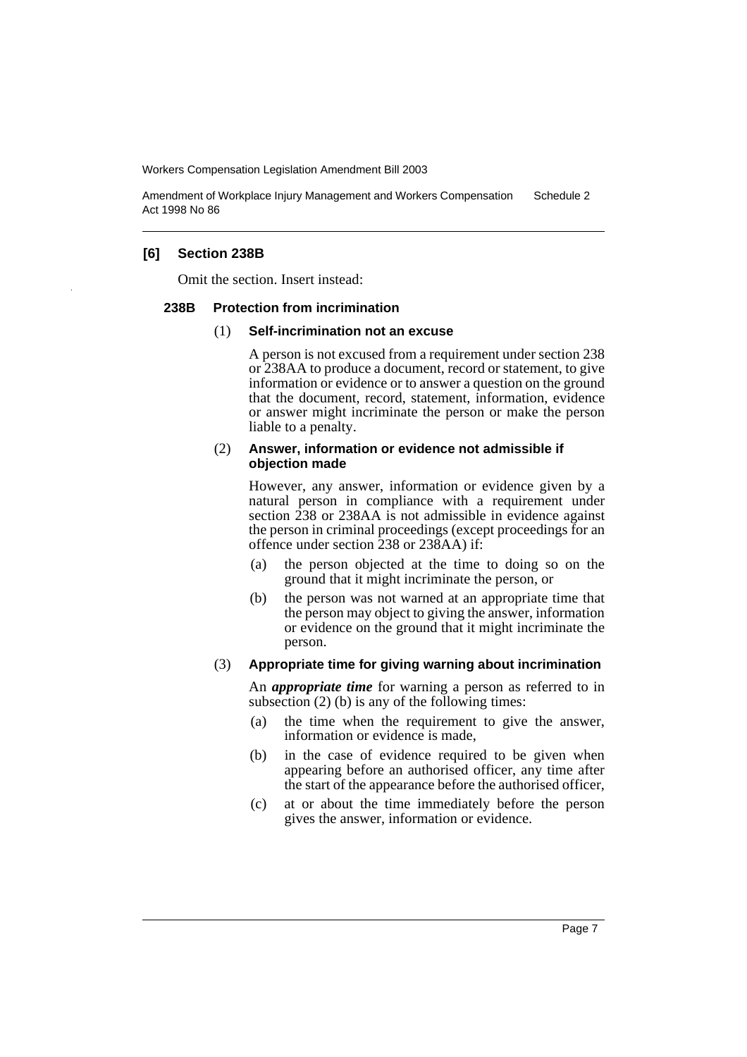Amendment of Workplace Injury Management and Workers Compensation Act 1998 No 86 Schedule 2

#### **[6] Section 238B**

Omit the section. Insert instead:

#### **238B Protection from incrimination**

#### (1) **Self-incrimination not an excuse**

A person is not excused from a requirement under section 238 or 238AA to produce a document, record or statement, to give information or evidence or to answer a question on the ground that the document, record, statement, information, evidence or answer might incriminate the person or make the person liable to a penalty.

#### (2) **Answer, information or evidence not admissible if objection made**

However, any answer, information or evidence given by a natural person in compliance with a requirement under section 238 or 238AA is not admissible in evidence against the person in criminal proceedings (except proceedings for an offence under section 238 or 238AA) if:

- (a) the person objected at the time to doing so on the ground that it might incriminate the person, or
- (b) the person was not warned at an appropriate time that the person may object to giving the answer, information or evidence on the ground that it might incriminate the person.

#### (3) **Appropriate time for giving warning about incrimination**

An *appropriate time* for warning a person as referred to in subsection (2) (b) is any of the following times:

- (a) the time when the requirement to give the answer, information or evidence is made,
- (b) in the case of evidence required to be given when appearing before an authorised officer, any time after the start of the appearance before the authorised officer,
- (c) at or about the time immediately before the person gives the answer, information or evidence.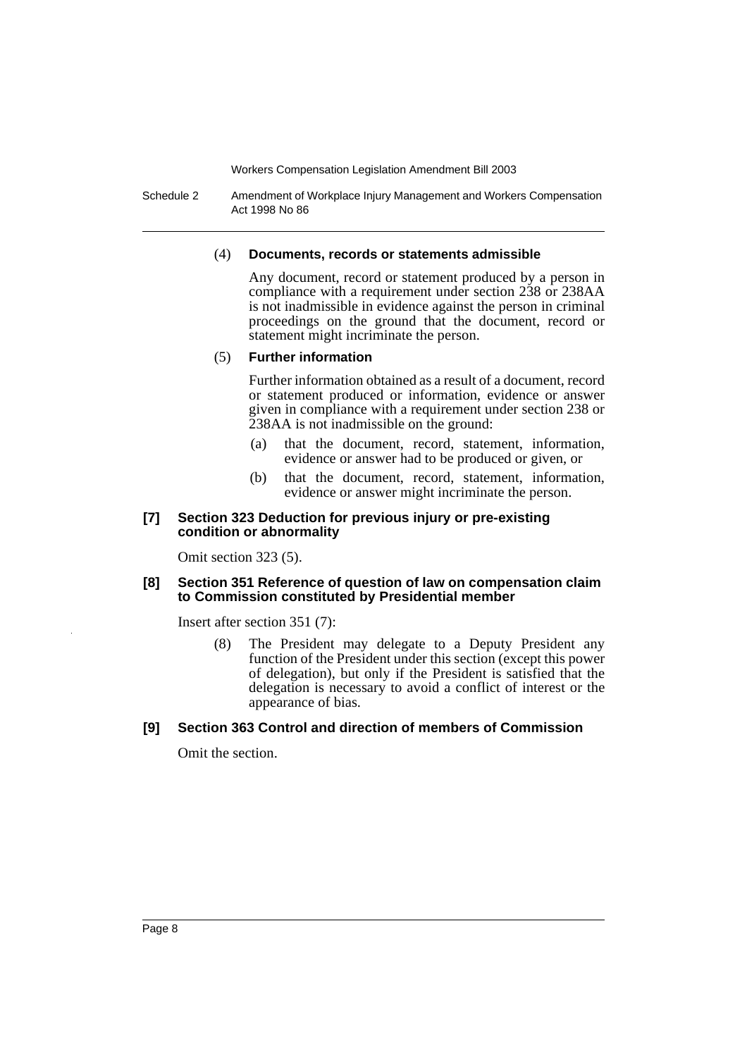Schedule 2 Amendment of Workplace Injury Management and Workers Compensation Act 1998 No 86

#### (4) **Documents, records or statements admissible**

Any document, record or statement produced by a person in compliance with a requirement under section 238 or 238AA is not inadmissible in evidence against the person in criminal proceedings on the ground that the document, record or statement might incriminate the person.

#### (5) **Further information**

Further information obtained as a result of a document, record or statement produced or information, evidence or answer given in compliance with a requirement under section 238 or 238AA is not inadmissible on the ground:

- (a) that the document, record, statement, information, evidence or answer had to be produced or given, or
- (b) that the document, record, statement, information, evidence or answer might incriminate the person.

#### **[7] Section 323 Deduction for previous injury or pre-existing condition or abnormality**

Omit section 323 (5).

#### **[8] Section 351 Reference of question of law on compensation claim to Commission constituted by Presidential member**

Insert after section 351 (7):

(8) The President may delegate to a Deputy President any function of the President under this section (except this power of delegation), but only if the President is satisfied that the delegation is necessary to avoid a conflict of interest or the appearance of bias.

# **[9] Section 363 Control and direction of members of Commission**

Omit the section.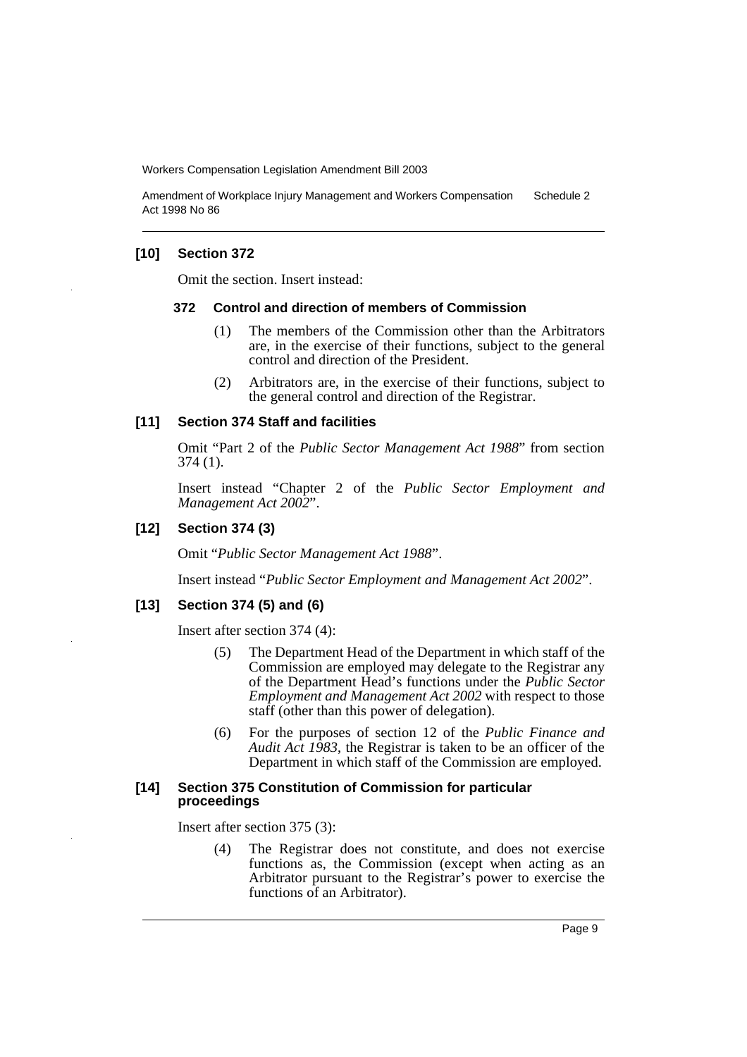Amendment of Workplace Injury Management and Workers Compensation Act 1998 No 86 Schedule 2

## **[10] Section 372**

Omit the section. Insert instead:

#### **372 Control and direction of members of Commission**

- (1) The members of the Commission other than the Arbitrators are, in the exercise of their functions, subject to the general control and direction of the President.
- (2) Arbitrators are, in the exercise of their functions, subject to the general control and direction of the Registrar.

## **[11] Section 374 Staff and facilities**

Omit "Part 2 of the *Public Sector Management Act 1988*" from section 374 (1).

Insert instead "Chapter 2 of the *Public Sector Employment and Management Act 2002*".

# **[12] Section 374 (3)**

Omit "*Public Sector Management Act 1988*".

Insert instead "*Public Sector Employment and Management Act 2002*".

#### **[13] Section 374 (5) and (6)**

Insert after section 374 (4):

- (5) The Department Head of the Department in which staff of the Commission are employed may delegate to the Registrar any of the Department Head's functions under the *Public Sector Employment and Management Act 2002* with respect to those staff (other than this power of delegation).
- (6) For the purposes of section 12 of the *Public Finance and Audit Act 1983*, the Registrar is taken to be an officer of the Department in which staff of the Commission are employed.

### **[14] Section 375 Constitution of Commission for particular proceedings**

Insert after section 375 (3):

(4) The Registrar does not constitute, and does not exercise functions as, the Commission (except when acting as an Arbitrator pursuant to the Registrar's power to exercise the functions of an Arbitrator).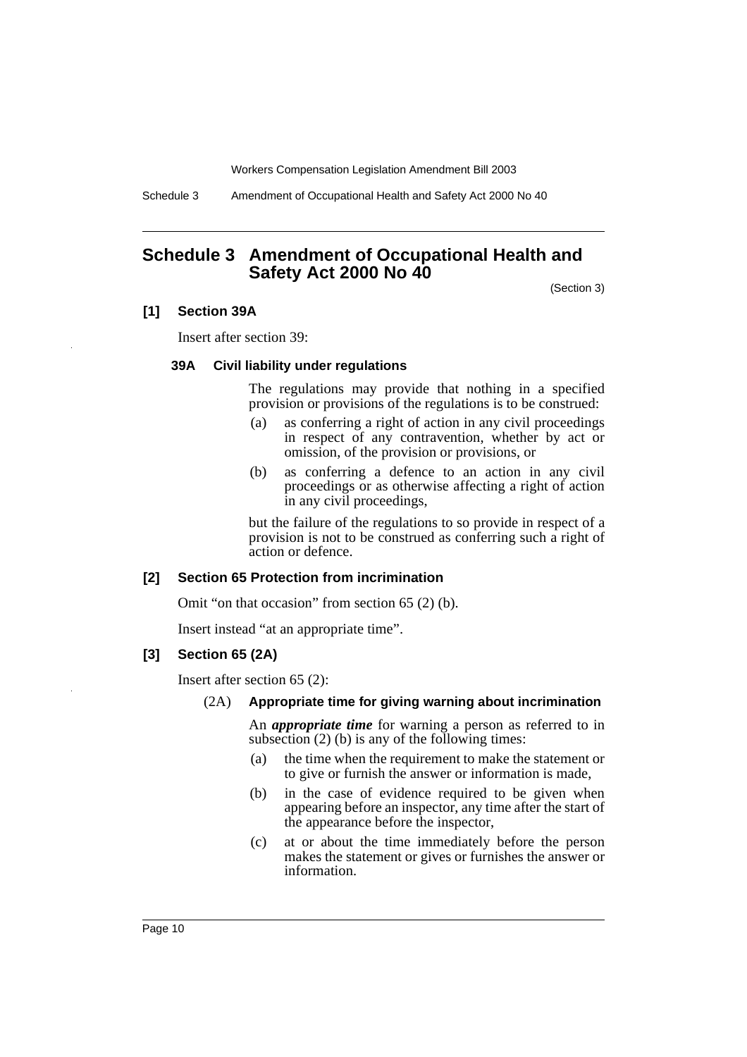Schedule 3 Amendment of Occupational Health and Safety Act 2000 No 40

# <span id="page-11-0"></span>**Schedule 3 Amendment of Occupational Health and Safety Act 2000 No 40**

(Section 3)

## **[1] Section 39A**

Insert after section 39:

#### **39A Civil liability under regulations**

The regulations may provide that nothing in a specified provision or provisions of the regulations is to be construed:

- (a) as conferring a right of action in any civil proceedings in respect of any contravention, whether by act or omission, of the provision or provisions, or
- (b) as conferring a defence to an action in any civil proceedings or as otherwise affecting a right of action in any civil proceedings,

but the failure of the regulations to so provide in respect of a provision is not to be construed as conferring such a right of action or defence.

## **[2] Section 65 Protection from incrimination**

Omit "on that occasion" from section 65 (2) (b).

Insert instead "at an appropriate time".

#### **[3] Section 65 (2A)**

Insert after section 65 (2):

(2A) **Appropriate time for giving warning about incrimination**

An *appropriate time* for warning a person as referred to in subsection (2) (b) is any of the following times:

- (a) the time when the requirement to make the statement or to give or furnish the answer or information is made,
- (b) in the case of evidence required to be given when appearing before an inspector, any time after the start of the appearance before the inspector,
- (c) at or about the time immediately before the person makes the statement or gives or furnishes the answer or information.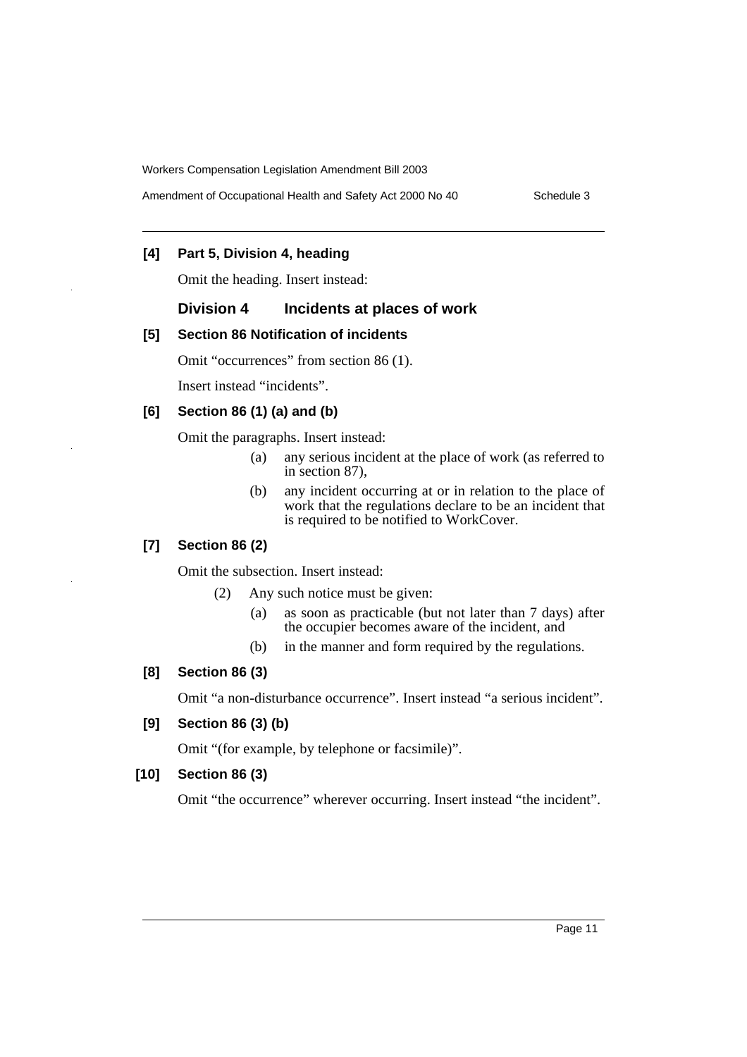Amendment of Occupational Health and Safety Act 2000 No 40 Schedule 3

# **[4] Part 5, Division 4, heading**

Omit the heading. Insert instead:

# **Division 4 Incidents at places of work**

# **[5] Section 86 Notification of incidents**

Omit "occurrences" from section 86 (1).

Insert instead "incidents".

# **[6] Section 86 (1) (a) and (b)**

Omit the paragraphs. Insert instead:

- (a) any serious incident at the place of work (as referred to in section 87),
- (b) any incident occurring at or in relation to the place of work that the regulations declare to be an incident that is required to be notified to WorkCover.

# **[7] Section 86 (2)**

Omit the subsection. Insert instead:

- (2) Any such notice must be given:
	- (a) as soon as practicable (but not later than 7 days) after the occupier becomes aware of the incident, and
	- (b) in the manner and form required by the regulations.

# **[8] Section 86 (3)**

Omit "a non-disturbance occurrence". Insert instead "a serious incident".

## **[9] Section 86 (3) (b)**

Omit "(for example, by telephone or facsimile)".

# **[10] Section 86 (3)**

Omit "the occurrence" wherever occurring. Insert instead "the incident".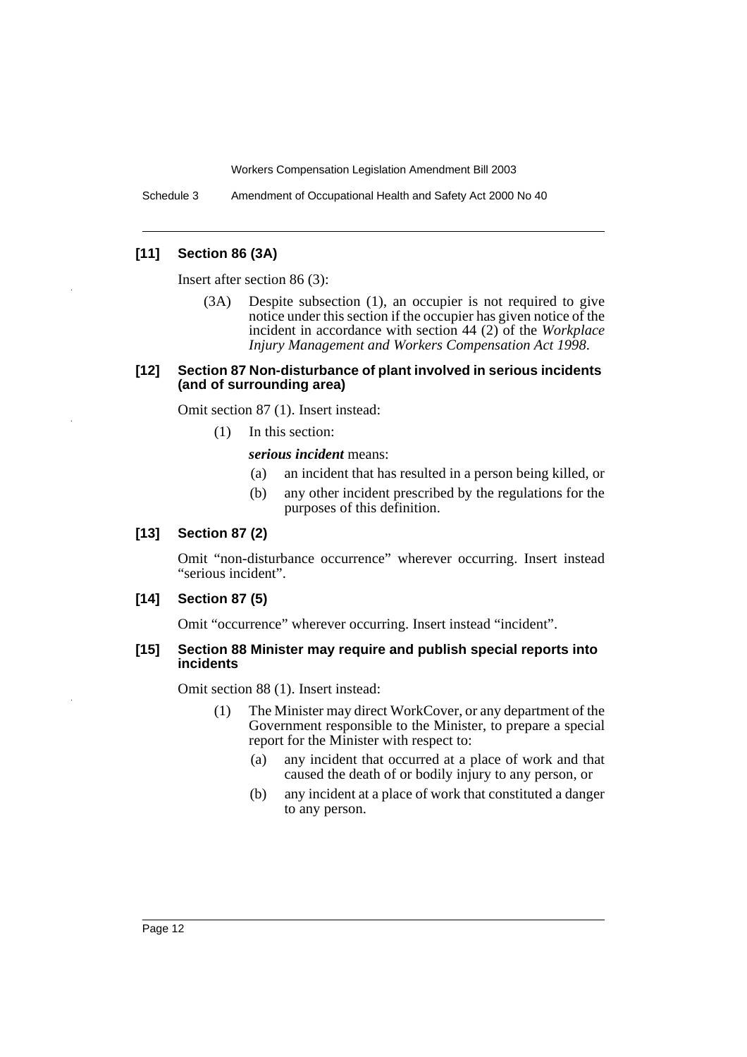Schedule 3 Amendment of Occupational Health and Safety Act 2000 No 40

# **[11] Section 86 (3A)**

Insert after section 86 (3):

(3A) Despite subsection (1), an occupier is not required to give notice under this section if the occupier has given notice of the incident in accordance with section 44 (2) of the *Workplace Injury Management and Workers Compensation Act 1998*.

#### **[12] Section 87 Non-disturbance of plant involved in serious incidents (and of surrounding area)**

Omit section 87 (1). Insert instead:

(1) In this section:

#### *serious incident* means:

- (a) an incident that has resulted in a person being killed, or
- (b) any other incident prescribed by the regulations for the purposes of this definition.

#### **[13] Section 87 (2)**

Omit "non-disturbance occurrence" wherever occurring. Insert instead "serious incident".

#### **[14] Section 87 (5)**

Omit "occurrence" wherever occurring. Insert instead "incident".

#### **[15] Section 88 Minister may require and publish special reports into incidents**

Omit section 88 (1). Insert instead:

- (1) The Minister may direct WorkCover, or any department of the Government responsible to the Minister, to prepare a special report for the Minister with respect to:
	- (a) any incident that occurred at a place of work and that caused the death of or bodily injury to any person, or
	- (b) any incident at a place of work that constituted a danger to any person.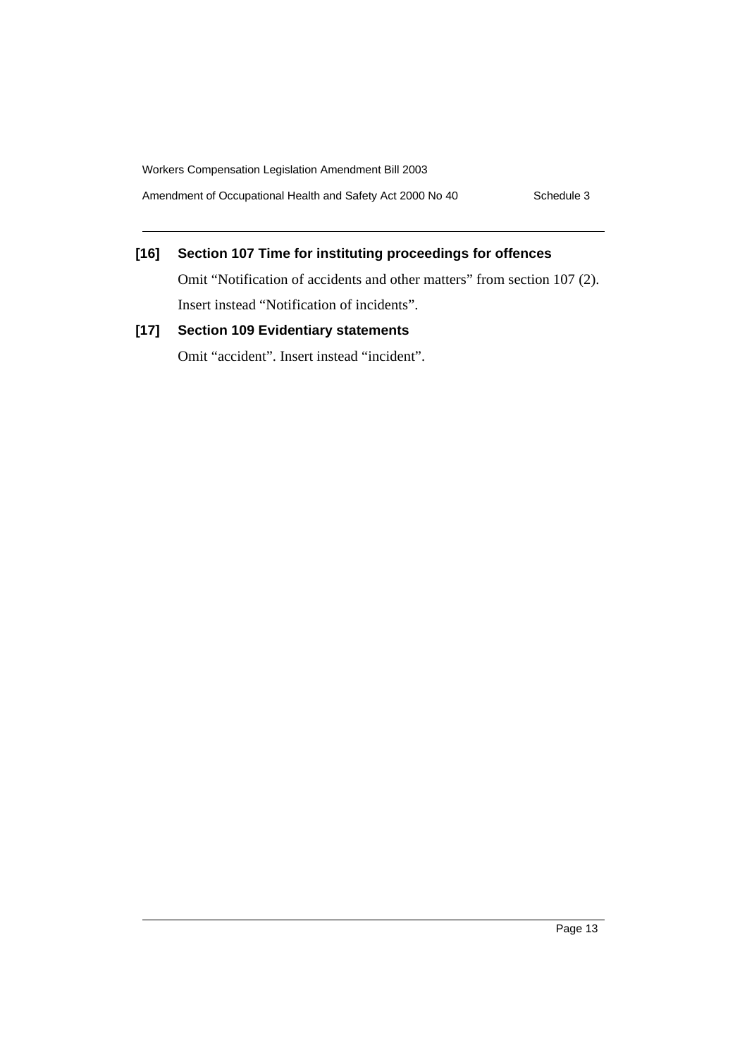Amendment of Occupational Health and Safety Act 2000 No 40 Schedule 3

# **[16] Section 107 Time for instituting proceedings for offences**

Omit "Notification of accidents and other matters" from section 107 (2). Insert instead "Notification of incidents".

# **[17] Section 109 Evidentiary statements**

Omit "accident". Insert instead "incident".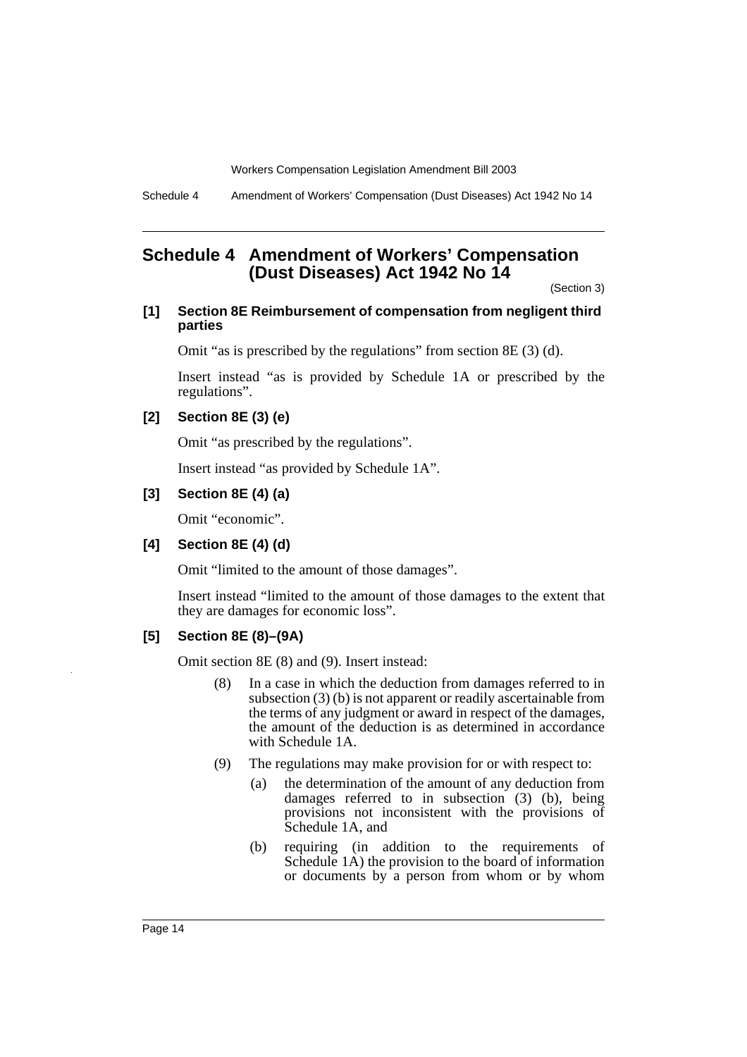Schedule 4 Amendment of Workers' Compensation (Dust Diseases) Act 1942 No 14

# <span id="page-15-0"></span>**Schedule 4 Amendment of Workers' Compensation (Dust Diseases) Act 1942 No 14**

(Section 3)

# **[1] Section 8E Reimbursement of compensation from negligent third parties**

Omit "as is prescribed by the regulations" from section 8E (3) (d).

Insert instead "as is provided by Schedule 1A or prescribed by the regulations".

# **[2] Section 8E (3) (e)**

Omit "as prescribed by the regulations".

Insert instead "as provided by Schedule 1A".

## **[3] Section 8E (4) (a)**

Omit "economic".

# **[4] Section 8E (4) (d)**

Omit "limited to the amount of those damages".

Insert instead "limited to the amount of those damages to the extent that they are damages for economic loss".

# **[5] Section 8E (8)–(9A)**

Omit section 8E (8) and (9). Insert instead:

- (8) In a case in which the deduction from damages referred to in subsection (3) (b) is not apparent or readily ascertainable from the terms of any judgment or award in respect of the damages, the amount of the deduction is as determined in accordance with Schedule 1A.
- (9) The regulations may make provision for or with respect to:
	- (a) the determination of the amount of any deduction from damages referred to in subsection (3) (b), being provisions not inconsistent with the provisions of Schedule 1A, and
	- (b) requiring (in addition to the requirements of Schedule 1A) the provision to the board of information or documents by a person from whom or by whom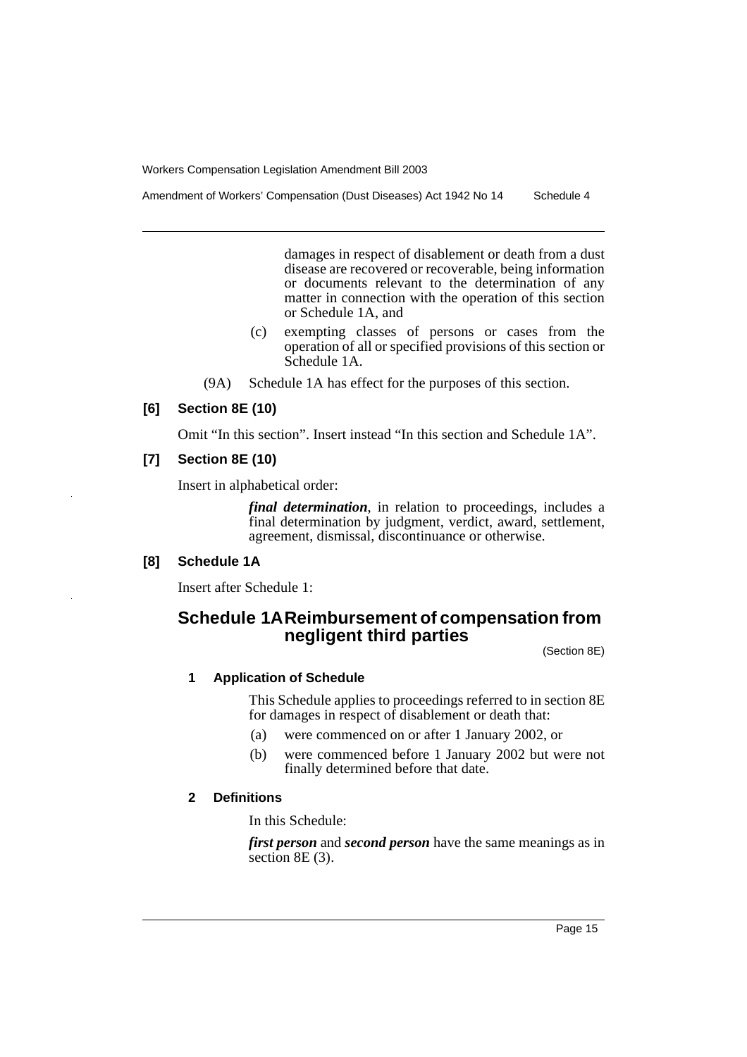Amendment of Workers' Compensation (Dust Diseases) Act 1942 No 14 Schedule 4

damages in respect of disablement or death from a dust disease are recovered or recoverable, being information or documents relevant to the determination of any matter in connection with the operation of this section or Schedule 1A, and

- (c) exempting classes of persons or cases from the operation of all or specified provisions of this section or Schedule 1A.
- (9A) Schedule 1A has effect for the purposes of this section.

## **[6] Section 8E (10)**

Omit "In this section". Insert instead "In this section and Schedule 1A".

# **[7] Section 8E (10)**

Insert in alphabetical order:

*final determination*, in relation to proceedings, includes a final determination by judgment, verdict, award, settlement, agreement, dismissal, discontinuance or otherwise.

# **[8] Schedule 1A**

Insert after Schedule 1:

# **Schedule 1AReimbursement of compensation from negligent third parties**

(Section 8E)

# **1 Application of Schedule**

This Schedule applies to proceedings referred to in section 8E for damages in respect of disablement or death that:

- (a) were commenced on or after 1 January 2002, or
- (b) were commenced before 1 January 2002 but were not finally determined before that date.

# **2 Definitions**

In this Schedule:

*first person* and *second person* have the same meanings as in section 8E (3).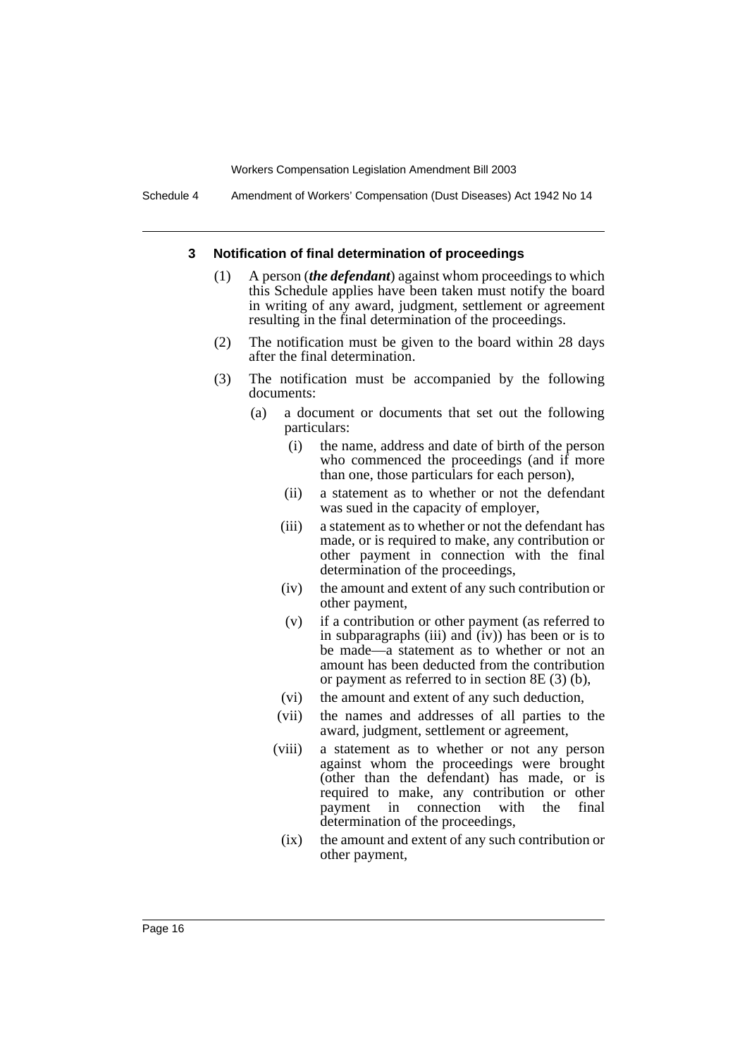Schedule 4 Amendment of Workers' Compensation (Dust Diseases) Act 1942 No 14

#### **3 Notification of final determination of proceedings**

- (1) A person (*the defendant*) against whom proceedings to which this Schedule applies have been taken must notify the board in writing of any award, judgment, settlement or agreement resulting in the final determination of the proceedings.
- (2) The notification must be given to the board within 28 days after the final determination.
- (3) The notification must be accompanied by the following documents:
	- (a) a document or documents that set out the following particulars:
		- (i) the name, address and date of birth of the person who commenced the proceedings (and if more than one, those particulars for each person),
		- (ii) a statement as to whether or not the defendant was sued in the capacity of employer,
		- (iii) a statement as to whether or not the defendant has made, or is required to make, any contribution or other payment in connection with the final determination of the proceedings,
		- (iv) the amount and extent of any such contribution or other payment,
		- (v) if a contribution or other payment (as referred to in subparagraphs (iii) and  $(iv)$ ) has been or is to be made—a statement as to whether or not an amount has been deducted from the contribution or payment as referred to in section 8E (3) (b),
		- (vi) the amount and extent of any such deduction,
		- (vii) the names and addresses of all parties to the award, judgment, settlement or agreement,
		- (viii) a statement as to whether or not any person against whom the proceedings were brought (other than the defendant) has made, or is required to make, any contribution or other<br>payment in connection with the final payment in connection with the final determination of the proceedings,
		- (ix) the amount and extent of any such contribution or other payment,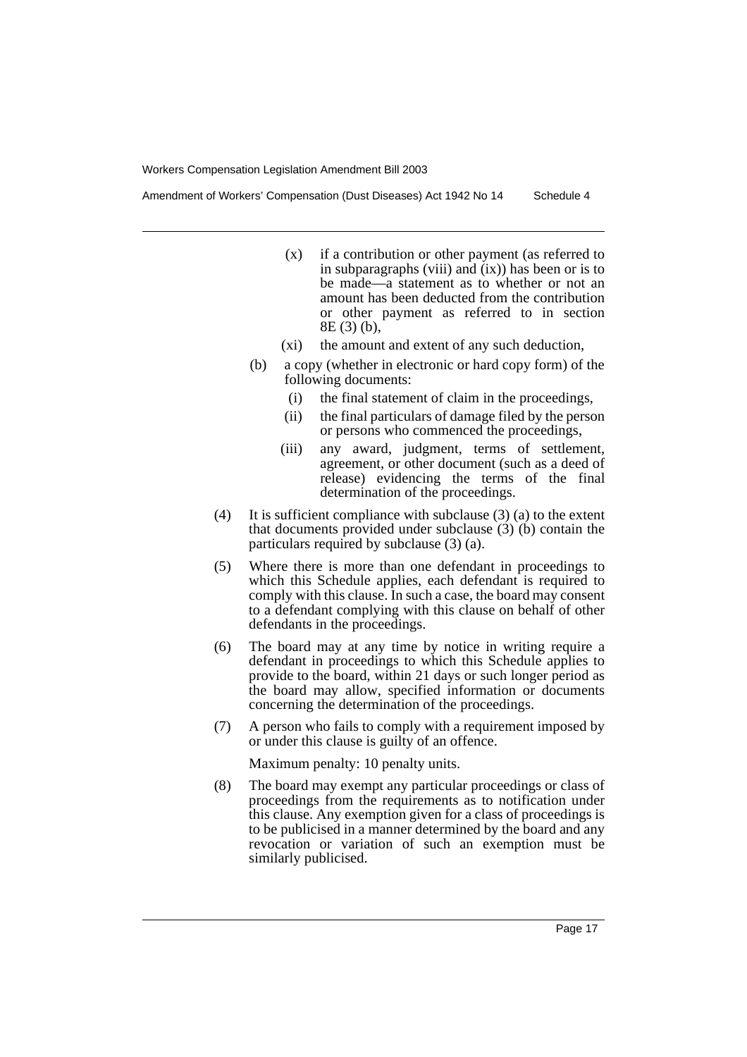Amendment of Workers' Compensation (Dust Diseases) Act 1942 No 14 Schedule 4

- (x) if a contribution or other payment (as referred to in subparagraphs (viii) and  $(ix)$ ) has been or is to be made—a statement as to whether or not an amount has been deducted from the contribution or other payment as referred to in section 8E (3) (b),
- (xi) the amount and extent of any such deduction,
- (b) a copy (whether in electronic or hard copy form) of the following documents:
	- (i) the final statement of claim in the proceedings,
	- (ii) the final particulars of damage filed by the person or persons who commenced the proceedings,
	- (iii) any award, judgment, terms of settlement, agreement, or other document (such as a deed of release) evidencing the terms of the final determination of the proceedings.
- (4) It is sufficient compliance with subclause (3) (a) to the extent that documents provided under subclause (3) (b) contain the particulars required by subclause (3) (a).
- (5) Where there is more than one defendant in proceedings to which this Schedule applies, each defendant is required to comply with this clause. In such a case, the board may consent to a defendant complying with this clause on behalf of other defendants in the proceedings.
- (6) The board may at any time by notice in writing require a defendant in proceedings to which this Schedule applies to provide to the board, within 21 days or such longer period as the board may allow, specified information or documents concerning the determination of the proceedings.
- (7) A person who fails to comply with a requirement imposed by or under this clause is guilty of an offence.

Maximum penalty: 10 penalty units.

(8) The board may exempt any particular proceedings or class of proceedings from the requirements as to notification under this clause. Any exemption given for a class of proceedings is to be publicised in a manner determined by the board and any revocation or variation of such an exemption must be similarly publicised.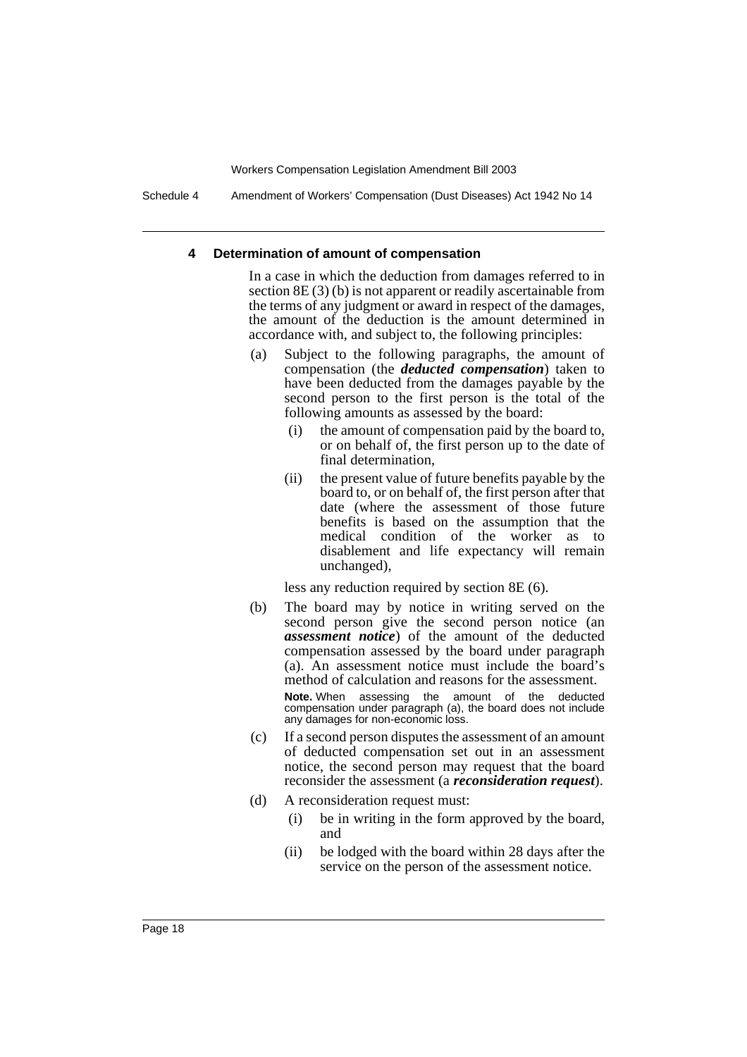Schedule 4 Amendment of Workers' Compensation (Dust Diseases) Act 1942 No 14

#### **4 Determination of amount of compensation**

In a case in which the deduction from damages referred to in section 8E (3) (b) is not apparent or readily ascertainable from the terms of any judgment or award in respect of the damages, the amount of the deduction is the amount determined in accordance with, and subject to, the following principles:

- (a) Subject to the following paragraphs, the amount of compensation (the *deducted compensation*) taken to have been deducted from the damages payable by the second person to the first person is the total of the following amounts as assessed by the board:
	- (i) the amount of compensation paid by the board to, or on behalf of, the first person up to the date of final determination,
	- (ii) the present value of future benefits payable by the board to, or on behalf of, the first person after that date (where the assessment of those future benefits is based on the assumption that the medical condition of the worker as to disablement and life expectancy will remain unchanged),

less any reduction required by section 8E (6).

(b) The board may by notice in writing served on the second person give the second person notice (an *assessment notice*) of the amount of the deducted compensation assessed by the board under paragraph (a). An assessment notice must include the board's method of calculation and reasons for the assessment.

**Note.** When assessing the amount of the deducted compensation under paragraph (a), the board does not include any damages for non-economic loss.

- (c) If a second person disputes the assessment of an amount of deducted compensation set out in an assessment notice, the second person may request that the board reconsider the assessment (a *reconsideration request*).
- (d) A reconsideration request must:
	- (i) be in writing in the form approved by the board, and
	- (ii) be lodged with the board within 28 days after the service on the person of the assessment notice.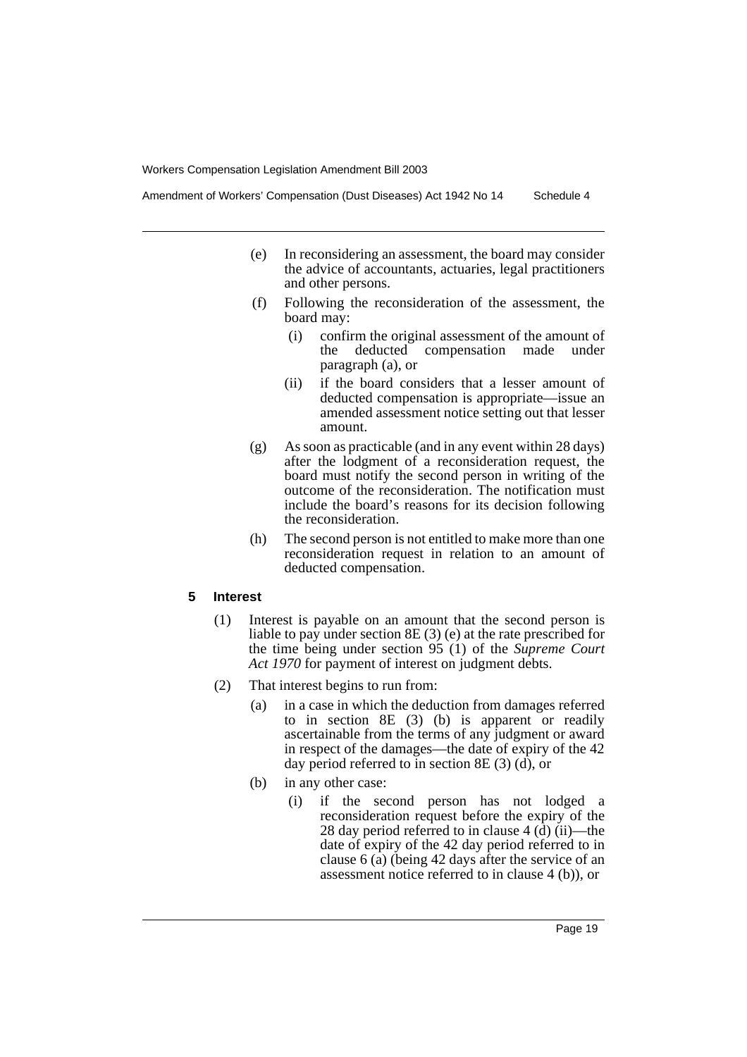- (e) In reconsidering an assessment, the board may consider the advice of accountants, actuaries, legal practitioners and other persons.
- (f) Following the reconsideration of the assessment, the board may:
	- (i) confirm the original assessment of the amount of the deducted compensation made under paragraph (a), or
	- (ii) if the board considers that a lesser amount of deducted compensation is appropriate—issue an amended assessment notice setting out that lesser amount.
- (g) As soon as practicable (and in any event within 28 days) after the lodgment of a reconsideration request, the board must notify the second person in writing of the outcome of the reconsideration. The notification must include the board's reasons for its decision following the reconsideration.
- (h) The second person is not entitled to make more than one reconsideration request in relation to an amount of deducted compensation.

#### **5 Interest**

- (1) Interest is payable on an amount that the second person is liable to pay under section 8E (3) (e) at the rate prescribed for the time being under section 95 (1) of the *Supreme Court Act 1970* for payment of interest on judgment debts.
- (2) That interest begins to run from:
	- (a) in a case in which the deduction from damages referred to in section 8E (3) (b) is apparent or readily ascertainable from the terms of any judgment or award in respect of the damages—the date of expiry of the 42 day period referred to in section 8E (3) (d), or
	- (b) in any other case:
		- (i) if the second person has not lodged a reconsideration request before the expiry of the 28 day period referred to in clause 4 (d) (ii)—the date of expiry of the 42 day period referred to in clause 6 (a) (being 42 days after the service of an assessment notice referred to in clause 4 (b)), or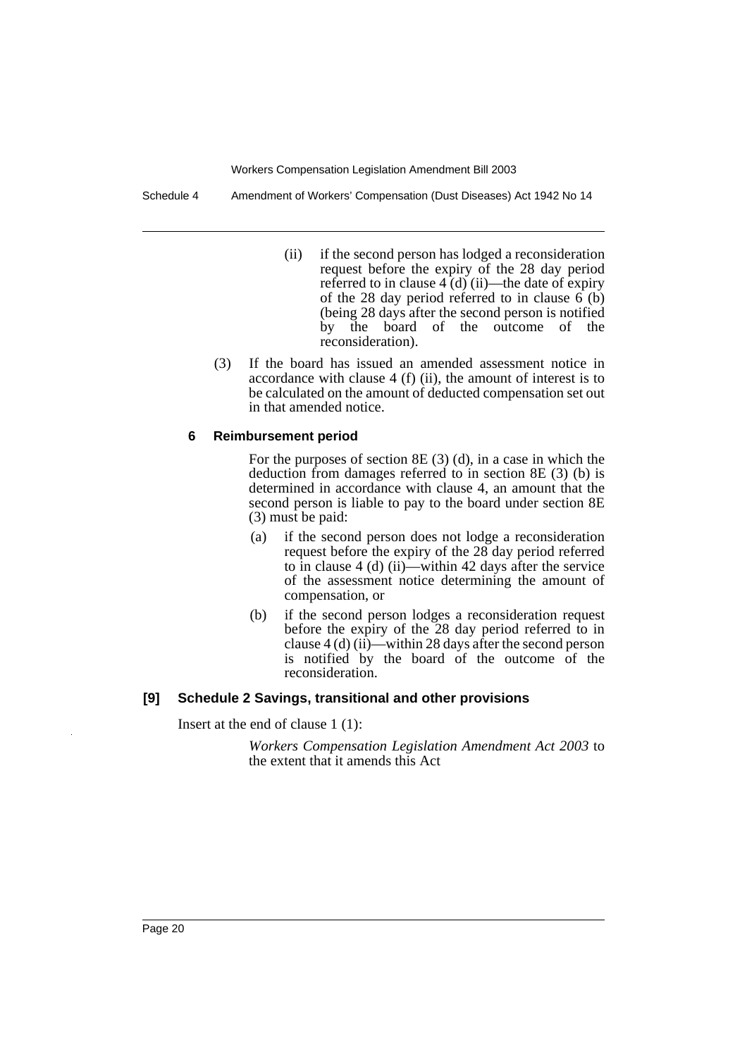Schedule 4 Amendment of Workers' Compensation (Dust Diseases) Act 1942 No 14

- (ii) if the second person has lodged a reconsideration request before the expiry of the 28 day period referred to in clause  $4 \tilde{d}$ ) (ii)—the date of expiry of the 28 day period referred to in clause  $6(6)$ (being 28 days after the second person is notified by the board of the outcome of the reconsideration).
- (3) If the board has issued an amended assessment notice in accordance with clause 4 (f) (ii), the amount of interest is to be calculated on the amount of deducted compensation set out in that amended notice.

#### **6 Reimbursement period**

For the purposes of section 8E (3) (d), in a case in which the deduction from damages referred to in section 8E (3) (b) is determined in accordance with clause 4, an amount that the second person is liable to pay to the board under section 8E (3) must be paid:

- (a) if the second person does not lodge a reconsideration request before the expiry of the 28 day period referred to in clause 4 (d) (ii)—within 42 days after the service of the assessment notice determining the amount of compensation, or
- (b) if the second person lodges a reconsideration request before the expiry of the 28 day period referred to in clause 4 (d) (ii)—within 28 days after the second person is notified by the board of the outcome of the reconsideration.

## **[9] Schedule 2 Savings, transitional and other provisions**

Insert at the end of clause 1 (1):

*Workers Compensation Legislation Amendment Act 2003* to the extent that it amends this Act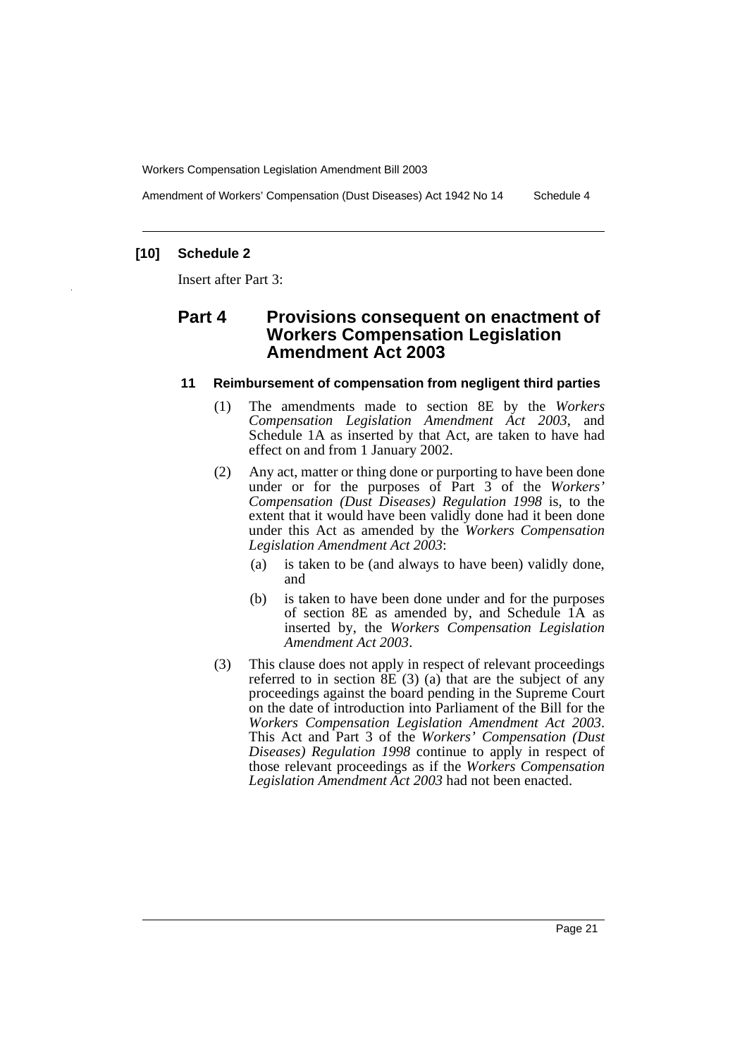Amendment of Workers' Compensation (Dust Diseases) Act 1942 No 14 Schedule 4

# **[10] Schedule 2**

Insert after Part 3:

# **Part 4 Provisions consequent on enactment of Workers Compensation Legislation Amendment Act 2003**

#### **11 Reimbursement of compensation from negligent third parties**

- (1) The amendments made to section 8E by the *Workers Compensation Legislation Amendment Act 2003*, and Schedule 1A as inserted by that Act, are taken to have had effect on and from 1 January 2002.
- (2) Any act, matter or thing done or purporting to have been done under or for the purposes of Part 3 of the *Workers' Compensation (Dust Diseases) Regulation 1998* is, to the extent that it would have been validly done had it been done under this Act as amended by the *Workers Compensation Legislation Amendment Act 2003*:
	- (a) is taken to be (and always to have been) validly done, and
	- (b) is taken to have been done under and for the purposes of section 8E as amended by, and Schedule 1A as inserted by, the *Workers Compensation Legislation Amendment Act 2003*.
- (3) This clause does not apply in respect of relevant proceedings referred to in section  $\overline{SE}(3)$  (a) that are the subject of any proceedings against the board pending in the Supreme Court on the date of introduction into Parliament of the Bill for the *Workers Compensation Legislation Amendment Act 2003*. This Act and Part 3 of the *Workers' Compensation (Dust Diseases) Regulation 1998* continue to apply in respect of those relevant proceedings as if the *Workers Compensation Legislation Amendment Act 2003* had not been enacted.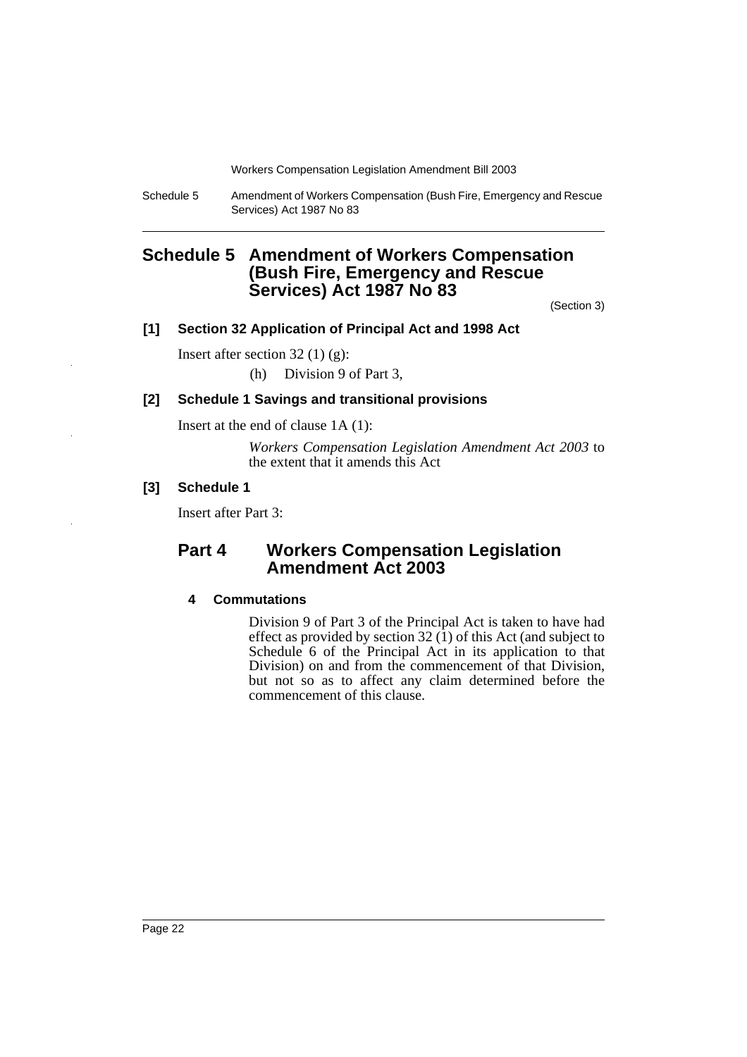Schedule 5 Amendment of Workers Compensation (Bush Fire, Emergency and Rescue Services) Act 1987 No 83

# <span id="page-23-0"></span>**Schedule 5 Amendment of Workers Compensation (Bush Fire, Emergency and Rescue Services) Act 1987 No 83**

(Section 3)

# **[1] Section 32 Application of Principal Act and 1998 Act**

Insert after section 32 (1) (g): (h) Division 9 of Part 3,

#### **[2] Schedule 1 Savings and transitional provisions**

Insert at the end of clause 1A (1):

*Workers Compensation Legislation Amendment Act 2003* to the extent that it amends this Act

# **[3] Schedule 1**

Insert after Part 3:

# **Part 4 Workers Compensation Legislation Amendment Act 2003**

#### **4 Commutations**

Division 9 of Part 3 of the Principal Act is taken to have had effect as provided by section 32 $(1)$  of this Act (and subject to Schedule 6 of the Principal Act in its application to that Division) on and from the commencement of that Division, but not so as to affect any claim determined before the commencement of this clause.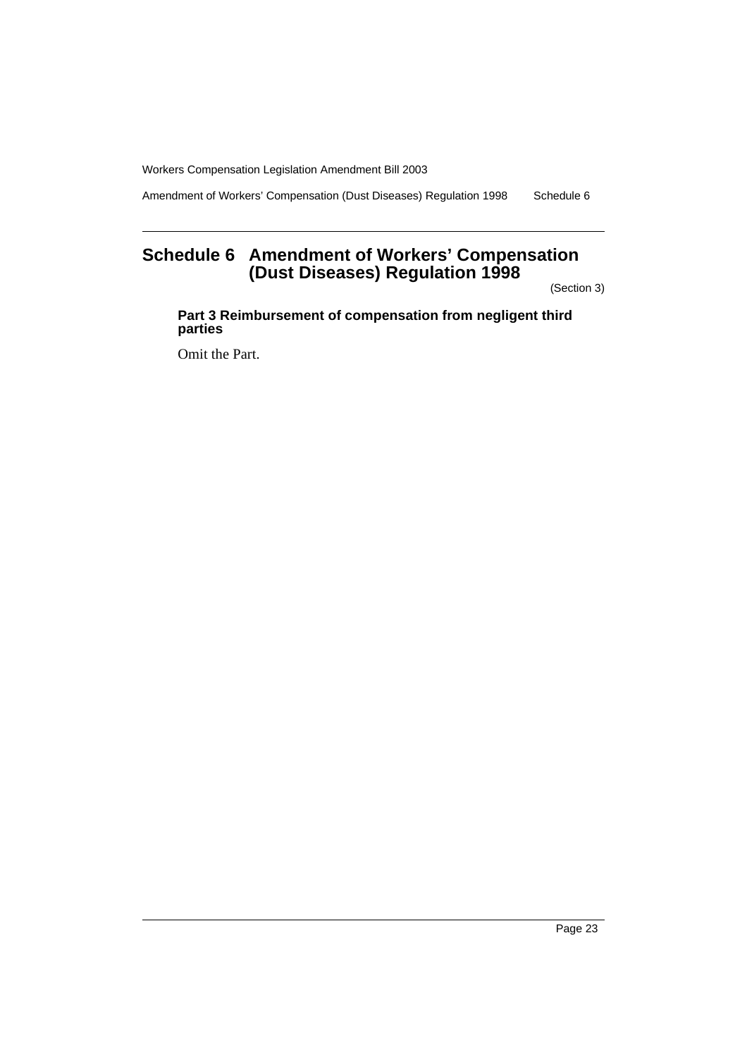Amendment of Workers' Compensation (Dust Diseases) Regulation 1998 Schedule 6

# <span id="page-24-0"></span>**Schedule 6 Amendment of Workers' Compensation (Dust Diseases) Regulation 1998**

(Section 3)

**Part 3 Reimbursement of compensation from negligent third parties**

Omit the Part.